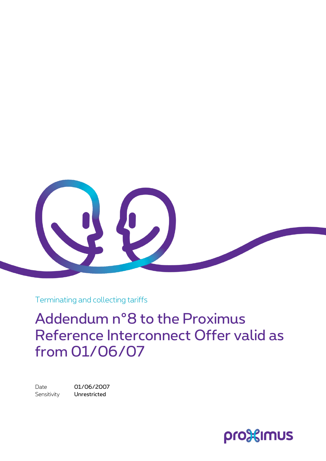

Terminating and collecting tariffs

Addendum n°8 to the Proximus Reference Interconnect Offer valid as from 01/06/07

Date 01/06/2007 Sensitivity **Unrestricted** 

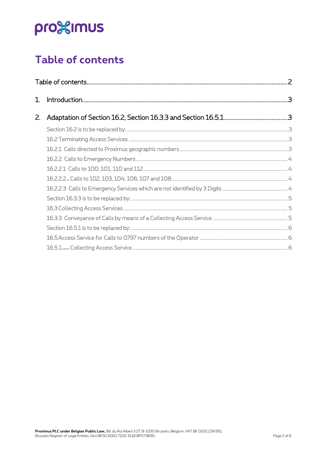# pro<sup>32</sup>imus

### <span id="page-1-0"></span>Table of contents

| 1. |  |  |  |  |  |  |
|----|--|--|--|--|--|--|
| 2. |  |  |  |  |  |  |
|    |  |  |  |  |  |  |
|    |  |  |  |  |  |  |
|    |  |  |  |  |  |  |
|    |  |  |  |  |  |  |
|    |  |  |  |  |  |  |
|    |  |  |  |  |  |  |
|    |  |  |  |  |  |  |
|    |  |  |  |  |  |  |
|    |  |  |  |  |  |  |
|    |  |  |  |  |  |  |
|    |  |  |  |  |  |  |
|    |  |  |  |  |  |  |
|    |  |  |  |  |  |  |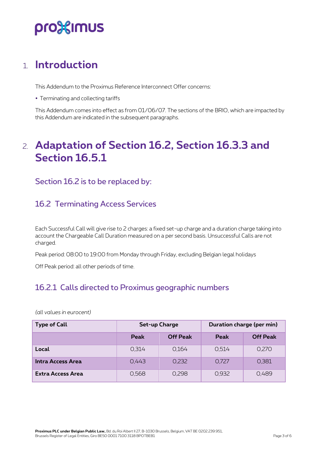## pro%imus

### <span id="page-2-0"></span>1. **Introduction**

This Addendum to the Proximus Reference Interconnect Offer concerns:

Terminating and collecting tariffs

<span id="page-2-1"></span>This Addendum comes into effect as from 01/06/07. The sections of the BRIO, which are impacted by this Addendum are indicated in the subsequent paragraphs.

### 2. **Adaptation of Section 16.2, Section 16.3.3 and Section 16.5.1**

<span id="page-2-2"></span>Section 16.2 is to be replaced by:

#### <span id="page-2-3"></span>16.2 Terminating Access Services

Each Successful Call will give rise to 2 charges: a fixed set-up charge and a duration charge taking into account the Chargeable Call Duration measured on a per second basis. Unsuccessful Calls are not charged.

Peak period: 08:00 to 19:00 from Monday through Friday, excluding Belgian legal holidays

Off Peak period: all other periods of time.

#### <span id="page-2-4"></span>16.2.1 Calls directed to Proximus geographic numbers

*(all values in eurocent)*

| <b>Type of Call</b>      | Set-up Charge |                 | Duration charge (per min) |                 |
|--------------------------|---------------|-----------------|---------------------------|-----------------|
|                          | Peak          | <b>Off Peak</b> | Peak                      | <b>Off Peak</b> |
| Local                    | 0.314         | 0.164           | 0.514                     | 0,270           |
| Intra Access Area        | 0.443         | 0,232           | 0,727                     | 0,381           |
| <b>Extra Access Area</b> | 0,568         | 0.298           | 0,932                     | 0,489           |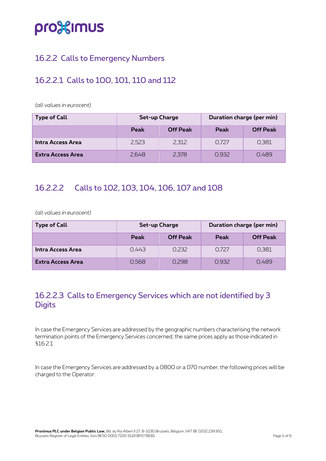## pro<sup>32</sup>imus

#### <span id="page-3-0"></span>16.2.2 Calls to Emergency Numbers

#### <span id="page-3-1"></span>16.2.2.1 Calls to 100, 101, 110 and 112

*(all values in eurocent)*

| <b>Type of Call</b>      | Set-up Charge |                 | Duration charge (per min) |                 |
|--------------------------|---------------|-----------------|---------------------------|-----------------|
|                          | <b>Peak</b>   | <b>Off Peak</b> | <b>Peak</b>               | <b>Off Peak</b> |
| Intra Access Area        | 2.523         | 2.312           | 0.727                     | 0,381           |
| <b>Extra Access Area</b> | 2,648         | 2,378           | 0.932                     | 0.489           |

#### <span id="page-3-2"></span>16.2.2.2 Calls to 102, 103, 104, 106, 107 and 108

*(all values in eurocent)*

| <b>Type of Call</b>      | Set-up Charge |                 | Duration charge (per min) |                 |
|--------------------------|---------------|-----------------|---------------------------|-----------------|
|                          | Peak          | <b>Off Peak</b> | Peak                      | <b>Off Peak</b> |
| Intra Access Area        | 0.443         | 0.232           | 0,727                     | 0,381           |
| <b>Extra Access Area</b> | 0,568         | 0,298           | 0,932                     | 0.489           |

#### <span id="page-3-3"></span>16.2.2.3 Calls to Emergency Services which are not identified by 3 **Digits**

In case the Emergency Services are addressed by the geographic numbers characterising the network termination points of the Emergency Services concerned, the same prices apply as those indicated in §16.2.1

In case the Emergency Services are addressed by a 0800 or a 070 number, the following prices will be charged to the Operator: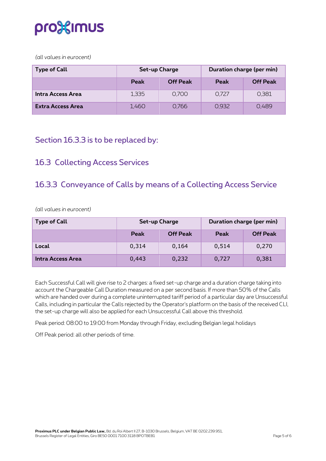

*(all values in eurocent)*

| <b>Type of Call</b> | Set-up Charge |                 | Duration charge (per min) |                 |
|---------------------|---------------|-----------------|---------------------------|-----------------|
|                     | <b>Peak</b>   | <b>Off Peak</b> | Peak                      | <b>Off Peak</b> |
| Intra Access Area   | 1.335         | 0.700           | 0.727                     | 0.381           |
| Extra Access Area   | 1,460         | 0.766           | 0.932                     | 0.489           |

#### <span id="page-4-0"></span>Section 16.3.3 is to be replaced by:

#### <span id="page-4-1"></span>16.3 Collecting Access Services

#### <span id="page-4-2"></span>16.3.3 Conveyance of Calls by means of a Collecting Access Service

*(all values in eurocent)*

| <b>Type of Call</b> | Set-up Charge |                 | Duration charge (per min) |                 |
|---------------------|---------------|-----------------|---------------------------|-----------------|
|                     | Peak          | <b>Off Peak</b> | Peak                      | <b>Off Peak</b> |
| Local               | 0,314         | 0,164           | 0,514                     | 0,270           |
| Intra Access Area   | 0,443         | 0,232           | 0,727                     | 0,381           |

Each Successful Call will give rise to 2 charges: a fixed set-up charge and a duration charge taking into account the Chargeable Call Duration measured on a per second basis. If more than 50% of the Calls which are handed over during a complete uninterrupted tariff period of a particular day are Unsuccessful Calls, including in particular the Calls rejected by the Operator's platform on the basis of the received CLI, the set-up charge will also be applied for each Unsuccessful Call above this threshold.

Peak period: 08:00 to 19:00 from Monday through Friday, excluding Belgian legal holidays

Off Peak period: all other periods of time.